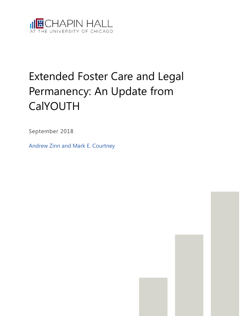

# Extended Foster Care and Legal Permanency: An Update from CalYOUTH

September 2018

Andrew Zinn and Mark E. Courtney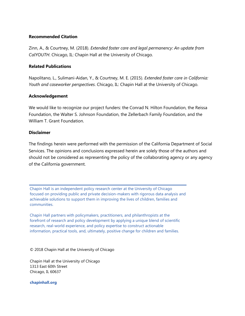#### **Recommended Citation**

Zinn, A., & Courtney, M. (2018). *Extended foster care and legal permanency: An update from CalYOUTH*. Chicago, IL: Chapin Hall at the University of Chicago.

#### **Related Publications**

Napolitano, L., Sulimani-Aidan, Y., & Courtney, M. E. (2015). *Extended foster care in California: Youth and caseworker perspectives*. Chicago, IL: Chapin Hall at the University of Chicago.

#### **Acknowledgement**

We would like to recognize our project funders: the Conrad N. Hilton Foundation, the Reissa Foundation, the Walter S. Johnson Foundation, the Zellerbach Family Foundation, and the William T. Grant Foundation.

#### **Disclaimer**

The findings herein were performed with the permission of the California Department of Social Services. The opinions and conclusions expressed herein are solely those of the authors and should not be considered as representing the policy of the collaborating agency or any agency of the California government.

Chapin Hall is an independent policy research center at the University of Chicago focused on providing public and private decision-makers with rigorous data analysis and achievable solutions to support them in improving the lives of children, families and communities.

Chapin Hall partners with policymakers, practitioners, and philanthropists at the forefront of research and policy development by applying a unique blend of scientific research, real-world experience, and policy expertise to construct actionable information, practical tools, and, ultimately, positive change for children and families.

© 2018 Chapin Hall at the University of Chicago

Chapin Hall at the University of Chicago 1313 East 60th Street Chicago, IL 60637

**chapinhall.org**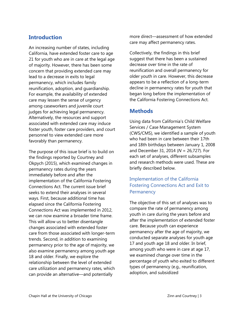# **Introduction**

An increasing number of states, including California, have extended foster care to age 21 for youth who are in care at the legal age of majority. However, there has been some concern that providing extended care may lead to a decrease in exits to legal permanency, which includes family reunification, adoption, and guardianship. For example, the availability of extended care may lessen the sense of urgency among caseworkers and juvenile court judges for achieving legal permanency. Alternatively, the resources and support associated with extended care may induce foster youth, foster care providers, and court personnel to view extended care more favorably than permanency.

The purpose of this issue brief is to build on the findings reported by Courtney and Okpych (2015), which examined changes in permanency rates during the years immediately before and after the implementation of the California Fostering Connections Act. The current issue brief seeks to extend their analyses in several ways. First, because additional time has elapsed since the California Fostering Connections Act was implemented in 2012, we can now examine a broader time frame. This will allow us to better disentangle changes associated with extended foster care from those associated with longer-term trends. Second, in addition to examining permanency prior to the age of majority, we also examine permanency among youth age 18 and older. Finally, we explore the relationship between the level of extended care utilization and permanency rates, which can provide an alternative—and potentially

more direct—assessment of how extended care may affect permanency rates.

Collectively, the findings in this brief suggest that there has been a sustained decrease over time in the rate of reunification and overall permanency for older youth in care. However, this decrease appears to be a reflection of a long-term decline in permanency rates for youth that began long before the implementation of the California Fostering Connections Act.

# **Methods**

Using data from California's Child Welfare Services / Case Management System (CWS/CMS), we identified a sample of youth who had been in care between their 17th and 18th birthdays between January 1, 2008 and December 31, 2014 (*N* = 26,727). For each set of analyses, different subsamples and research methods were used. These are briefly described below.

# Implementation of the California Fostering Connections Act and Exit to **Permanency**

The objective of this set of analyses was to compare the rate of permanency among youth in care during the years before and after the implementation of extended foster care. Because youth can experience permanency after the age of majority, we conducted separate analyses for youth age 17 and youth age 18 and older. In brief, among youth who were in care at age 17, we examined change over time in the percentage of youth who exited to different types of permanency (e.g., reunification, adoption, and subsidized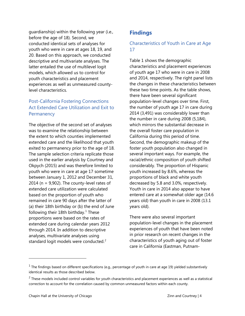guardianship) within the following year (i.e., before the age of 18). Second, we conducted identical sets of analyses for youth who were in care at ages 18, 19, and 20. Based on this approach, we conducted descriptive and multivariate analyses. The latter entailed the use of multilevel logit models, which allowed us to control for youth characteristics and placement experiences as well as unmeasured countylevel characteristics.

## Post-California Fostering Connections Act Extended Care Utilization and Exit to **Permanency**

The objective of the second set of analyses was to examine the relationship between the extent to which counties implemented extended care and the likelihood that youth exited to permanency prior to the age of 18. The sample selection criteria replicate those used in the earlier analysis by Courtney and Okpych (2015) and was therefore limited to youth who were in care at age 17 sometime between January 1, 2012 and December 31, 2014 ( $n = 9.902$ ). The county-level rates of extended care utilization were calculated based on the proportion of youth who remained in care 90 days after the latter of (a) their 18th birthday or (b) the end of June following their [1](#page-3-0)8th birthday.<sup>1</sup> These proportions were based on the rates of extended care during calendar years 2012 through 2014. In addition to descriptive analyses, multivariate analyses using standard logit models were conducted. $2^2$  $2^2$ 

# **Findings**

# Characteristics of Youth in Care at Age 17

Table 1 shows the demographic characteristics and placement experiences of youth age 17 who were in care in 2008 and 2014, respectively. The right panel lists the changes in these characteristics between these two time points. As the table shows, there have been several significant population-level changes over time. First, the number of youth age 17 in care during 2014 (3,491) was considerably lower than the number in care during 2008 (5,184), which mirrors the substantial decrease in the overall foster care population in California during this period of time. Second, the demographic makeup of the foster youth population also changed in several important ways. For example, the racial/ethnic composition of youth shifted considerably. The proportion of Hispanic youth increased by 8.6%, whereas the proportions of black and white youth decreased by 5.8 and 3.0%, respectively. Youth in care in 2014 also appear to have entered care at a somewhat older age (14.6 years old) than youth in care in 2008 (13.1 years old).

There were also several important population-level changes in the placement experiences of youth that have been noted in prior research on recent changes in the characteristics of youth aging out of foster care in California (Eastman, Putnam-

j

<span id="page-3-0"></span> $1$  The findings based on different specifications (e.g., percentage of youth in care at age 19) yielded substantively identical results as those described below.

<span id="page-3-1"></span> $2$  These models included control variables for youth characteristics and placement experiences as well as a statistical correction to account for the correlation caused by common unmeasured factors within each county.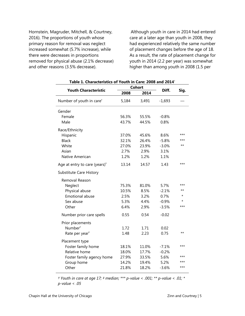Hornstein, Magruder, Mitchell, & Courtney, 2016). The proportions of youth whose primary reason for removal was neglect increased somewhat (5.7% increase), while there were decreases in proportions removed for physical abuse (2.1% decrease) and other reasons (3.5% decrease).

Although youth in care in 2014 had entered care at a later age than youth in 2008, they had experienced relatively the same number of placement changes before the age of 18. As a result, the rate of placement change for youth in 2014 (2.2 per year) was somewhat higher than among youth in 2008 (1.5 per

| Table 1. Characteristics of Youth in Care: 2008 and 2014 <sup>+</sup> |       |        |          |                 |
|-----------------------------------------------------------------------|-------|--------|----------|-----------------|
| <b>Youth Characteristic</b>                                           |       | Cohort | Diff.    |                 |
|                                                                       | 2008  | 2014   |          | Sig.            |
| Number of youth in care <sup>+</sup>                                  | 5,184 | 3,491  | $-1,693$ |                 |
| Gender                                                                |       |        |          |                 |
| Female                                                                | 56.3% | 55.5%  | $-0.8%$  |                 |
| Male                                                                  | 43.7% | 44.5%  | 0.8%     |                 |
| Race/Ethnicity                                                        |       |        |          |                 |
| Hispanic                                                              | 37.0% | 45.6%  | 8.6%     | ***             |
| <b>Black</b>                                                          | 32.1% | 26.4%  | $-5.8%$  | $***$           |
| White                                                                 | 27.0% | 23.9%  | $-3.0%$  | $**$            |
| Asian                                                                 | 2.7%  | 2.9%   | 3.1%     |                 |
| Native American                                                       | 1.2%  | 1.2%   | 1.1%     |                 |
| Age at entry to care (years) $*$                                      | 13.14 | 14.57  | 1.43     | ***             |
| Substitute Care History                                               |       |        |          |                 |
| Removal Reason                                                        |       |        |          |                 |
| Neglect                                                               | 75.3% | 81.0%  | 5.7%     | ***             |
| Physical abuse                                                        | 10.5% | 8.5%   | $-2.1%$  | $^{\star\star}$ |
| <b>Emotional abuse</b>                                                | 2.5%  | 3.2%   | 0.7%     | $\star$         |
| Sex abuse                                                             | 5.3%  | 4.4%   | $-0.9%$  | $\star$         |
| Other                                                                 | 6.4%  | 2.9%   | $-3.5%$  | $***$           |
| Number prior care spells                                              | 0.55  | 0.54   | $-0.02$  |                 |
| Prior placements                                                      |       |        |          |                 |
| Number <sup>#</sup>                                                   | 1.72  | 1.71   | 0.02     |                 |
| Rate per year <sup>#</sup>                                            | 1.48  | 2.23   | 0.75     | $^{\star\star}$ |
| Placement type                                                        |       |        |          |                 |
| Foster family home                                                    | 18.1% | 11.0%  | $-7.1%$  | $***$           |
| Relative home                                                         | 18.0% | 17.7%  | $-0.2%$  |                 |
| Foster family agency home                                             | 27.9% | 33.5%  | 5.6%     | ***             |
| Group home                                                            | 14.2% | 19.4%  | 5.2%     | ***             |
| Other                                                                 | 21.8% | 18.2%  | $-3.6%$  | ***             |

*† Youth in care at age 17; ‡ median; \*\*\* p-value < .001; \*\* p-value < .01; \* p-value < .05*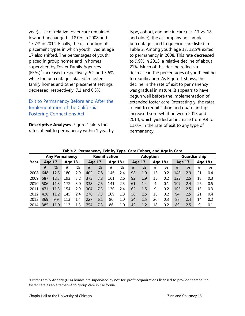year). Use of relative foster care remained low and unchanged—18.0% in 2008 and 17.7% in 2014. Finally, the distribution of placement types in which youth lived at age 17 also shifted. The percentages of youth placed in group homes and in homes supervised by Foster Family Agencies  $(FFAs)<sup>3</sup>$  $(FFAs)<sup>3</sup>$  $(FFAs)<sup>3</sup>$  increased, respectively, 5.2 and 5.6%, while the percentages placed in foster family homes and other placement settings decreased, respectively, 7.1 and 6.3%.

### Exit to Permanency Before and After the Implementation of the California Fostering Connections Act

**Descriptive Analyses**. Figure 1 plots the rates of exit to permanency within 1 year by type, cohort, and age in care (i.e., 17 vs. 18 and older); the accompanying sample percentages and frequencies are listed in Table 2. Among youth age 17, 12.5% exited to permanency in 2008. This rate decreased to 9.9% in 2013, a relative decline of about 21%. Much of this decline reflects a decrease in the percentages of youth exiting to reunification. As Figure 1 shows, the decline in the rate of exit to permanency was gradual in nature. It appears to have begun well before the implementation of extended foster care. Interestingly, the rates of exit to reunification and guardianship increased somewhat between 2013 and 2014, which yielded an increase from 9.9 to 11.0% in the rate of exit to any type of permanency.

| $\frac{1}{2}$ and $\frac{1}{2}$ . The mandate $\frac{1}{2}$ and $\frac{1}{2}$ and $\frac{1}{2}$ and $\frac{1}{2}$ and $\frac{1}{2}$ and $\frac{1}{2}$ |                       |      |           |                      |                     |     |                 |         |    |              |    |        |     |           |    |     |
|-------------------------------------------------------------------------------------------------------------------------------------------------------|-----------------------|------|-----------|----------------------|---------------------|-----|-----------------|---------|----|--------------|----|--------|-----|-----------|----|-----|
|                                                                                                                                                       | <b>Any Permanency</b> |      |           | <b>Reunification</b> |                     |     | <b>Adoption</b> |         |    | Guardianship |    |        |     |           |    |     |
| Year                                                                                                                                                  | Age 17                |      | Age $18+$ |                      | Age $18+$<br>Age 17 |     |                 | Age 17  |    | Age $18+$    |    | Age 17 |     | Age $18+$ |    |     |
|                                                                                                                                                       | #                     | %    | #         | %                    | #                   | %   | #               | %       | #  | %            | #  | %      | #   | %         | #  | %   |
| 2008                                                                                                                                                  | 648                   | 12.5 | 180       | 2.9                  | 402                 | 7.8 | 146             | 2.4     | 98 | 1.9          | 13 | 0.2    | 148 | 2.9       | 21 | 0.4 |
| 2009                                                                                                                                                  | 587                   | 12.3 | 193       | 3.2                  | 373                 | 7.8 | 161             | 2.6     | 92 | 1.9          | 15 | 0.2    | 122 | 2.5       | 18 | 0.3 |
| 2010                                                                                                                                                  | 506                   | 11.3 | 172       | 3.0                  | 338                 | 7.5 | 141             | 2.5     | 61 | 1.4          | 4  | 0.1    | 107 | 2.4       | 26 | 0.5 |
| 2011                                                                                                                                                  | 471                   | 11.3 | 154       | 2.9                  | 304                 | 7.3 | 130             | 2.4     | 62 | 1.5          | 9  | 0.2    | 105 | 2.5       | 15 | 0.3 |
| 2012                                                                                                                                                  | 428                   | 11.2 | 145       | 2.4                  | 278                 | 7.3 | 109             | 1.8     | 56 | 1.5          | 15 | 0.2    | 94  | 2.5       | 21 | 0.4 |
| 2013                                                                                                                                                  | 369                   | 9.9  | 113       | 1.4                  | 227                 | 6.1 | 80              | $1.0\,$ | 54 | 1.5          | 20 | 0.3    | 88  | 2.4       | 14 | 0.2 |
| 2014                                                                                                                                                  | 385                   | 11.0 | 113       | 1.3                  | 254                 | 7.3 | 86              | $1.0\,$ | 42 | 1.2          | 18 | 0.2    | 89  | 2.5       | 9  | 0.1 |

#### **Table 2. Permanency Exit by Type, Care Cohort, and Age in Care**

j

<span id="page-5-0"></span> $3$ Foster Family Agency (FFA) homes are supervised by not-for-profit organizations licensed to provide therapeutic foster care as an alternative to group care in California.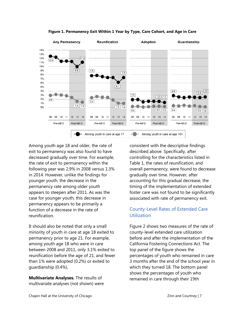

**Figure 1. Permanency Exit Within 1 Year by Type, Care Cohort, and Age in Care**

Among youth age 18 and older, the rate of exit to permanency was also found to have decreased gradually over time. For example, the rate of exit to permanency within the following year was 2.9% in 2008 versus 1.3% in 2014. However, unlike the findings for younger youth, the decrease in the permanency rate among older youth appears to steepen after 2011. As was the case for younger youth, this decrease in permanency appears to be primarily a function of a decrease in the rate of reunification.

It should also be noted that only a small minority of youth in care at age 18 exited to permanency prior to age 21. For example, among youth age 18 who were in care between 2008 and 2011, only 3.1% exited to reunification before the age of 21, and fewer than 1% were adopted (0.2%) or exited to guardianship (0.4%).

**Multivariate Analyses***.* The results of multivariate analyses (not shown) were consistent with the descriptive findings described above. Specifically, after controlling for the characteristics listed in Table 1, the rates of reunification, and overall permanency, were found to decrease gradually over time. However, after accounting for this gradual decrease, the timing of the implementation of extended foster care was not found to be significantly associated with rate of permanency exit.

## County-Level Rates of Extended Care **Utilization**

Figure 2 shows two measures of the rate of county-level extended care utilization before and after the implementation of the California Fostering Connections Act. The top panel of the figure shows the percentages of youth who remained in care 3 months after the end of the school year in which they turned 18. The bottom panel shows the percentages of youth who remained in care through their 19th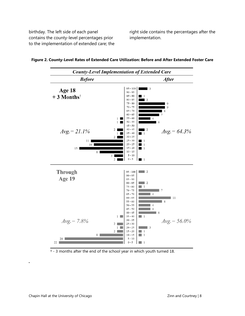birthday. The left side of each panel contains the county-level percentages prior to the implementation of extended care; the

right side contains the percentages after the implementation.





*.*

<sup>† -</sup> 3 months after the end of the school year in which youth turned 18.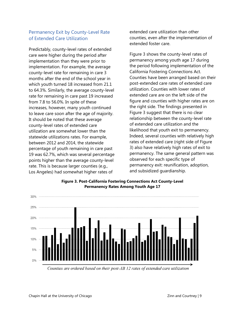## Permanency Exit by County-Level Rate of Extended Care Utilization

Predictably, county-level rates of extended care were higher during the period after implementation than they were prior to implementation. For example, the average county-level rate for remaining in care 3 months after the end of the school year in which youth turned 18 increased from 21.1 to 64.3%. Similarly, the average county-level rate for remaining in care past 19 increased from 7.8 to 56.0%. In spite of these increases, however, many youth continued to leave care soon after the age of majority. It should be noted that these average county-level rates of extended care utilization are somewhat lower than the statewide utilizations rates. For example, between 2012 and 2014, the statewide percentage of youth remaining in care past 19 was 62.7%, which was several percentage points higher than the average county-level rate. This is because larger counties (e.g., Los Angeles) had somewhat higher rates of

extended care utilization than other counties, even after the implementation of extended foster care.

Figure 3 shows the county-level rates of permanency among youth age 17 during the period following implementation of the California Fostering Connections Act. Counties have been arranged based on their post-extended care rates of extended care utilization. Counties with lower rates of extended care are on the left side of the figure and counties with higher rates are on the right side. The findings presented in Figure 3 suggest that there is no clear relationship between the county-level rate of extended care utilization and the likelihood that youth exit to permanency. Indeed, several counties with relatively high rates of extended care (right side of Figure 3) also have relatively high rates of exit to permanency. The same general pattern was observed for each specific type of permanency exit: reunification, adoption, and subsidized guardianship.



**Figure 3. Post-California Fostering Connections Act County-Level Permanency Rates Among Youth Age 17**

Counties are ordered based on their post-AB 12 rates of extended care utilization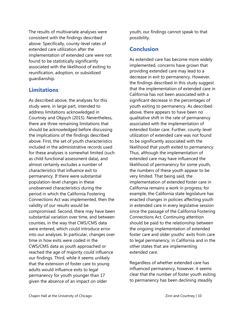The results of multivariate analyses were consistent with the findings described above. Specifically, county-level rates of extended care utilization after the implementation of extended care were not found to be statistically significantly associated with the likelihood of exiting to reunification, adoption, or subsidized guardianship.

## **Limitations**

As described above, the analyses for this study were, in large part, intended to address limitations acknowledged in Courtney and Okpych (2015). Nevertheless, there are three remaining limitations that should be acknowledged before discussing the implications of the findings described above. First, the set of youth characteristics included in the administrative records used for these analyses is somewhat limited (such as child functional assessment data), and almost certainly excludes a number of characteristics that influence exit to permanency. If there were substantial population-level changes in these unobserved characteristics during the period in which the California Fostering Connections Act was implemented, then the validity of our results would be compromised. Second, there may have been substantial variation over time, and between counties, in the way that CWS/CMS data were entered, which could introduce error into our analyses. In particular, changes over time in how exits were coded in the CWS/CMS data as youth approached or reached the age of majority could influence our findings. Third, while it seems unlikely that the extension of foster care to young adults would influence exits to legal permanency for youth younger than 17 given the absence of an impact on older

youth, our findings cannot speak to that possibility.

# **Conclusion**

As extended care has become more widely implemented, concerns have grown that providing extended care may lead to a decrease in exit to permanency. However, the findings described in this study suggest that the implementation of extended care in California has not been associated with a significant decrease in the percentages of youth exiting to permanency. As described above, there appears to have been no qualitative shift in the rate of permanency associated with the implementation of extended foster care. Further, county-level utilization of extended care was not found to be significantly associated with the likelihood that youth exited to permanency. Thus, although the implementation of extended care may have influenced the likelihood of permanency for some youth, the numbers of these youth appear to be very limited. That being said, the implementation of extended foster care in California remains a work in progress; for example, the California state legislature has enacted changes in policies affecting youth in extended care in every legislative session since the passage of the California Fostering Connections Act. Continuing attention should be paid to the relationship between the ongoing implementation of extended foster care and older youths' exits from care to legal permanency, in California and in the other states that are implementing extended care.

Regardless of whether extended care has influenced permanency, however, it seems clear that the number of foster youth exiting to permanency has been declining steadily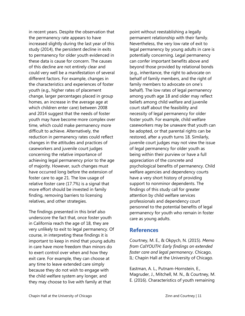in recent years. Despite the observation that the permanency rate appears to have increased slightly during the last year of this study (2014), the persistent decline in exits to permanency for older youth evidenced in these data is cause for concern. The causes of this decline are not entirely clear and could very well be a manifestation of several different factors. For example, changes in the characteristics and experiences of foster youth (e.g., higher rates of placement change, larger percentages placed in group homes, an increase in the average age at which children enter care) between 2008 and 2014 suggest that the needs of foster youth may have become more complex over time, which could make permanency more difficult to achieve. Alternatively, the reduction in permanency rates could reflect changes in the attitudes and practices of caseworkers and juvenile court judges concerning the relative importance of achieving legal permanency prior to the age of majority. However, such changes must have occurred long before the extension of foster care to age 21. The low usage of relative foster care (17.7%) is a signal that more effort should be invested in family finding, removing barriers to licensing relatives, and other strategies.

The findings presented in this brief also underscore the fact that, once foster youth in California reach the age of 18, they are very unlikely to exit to legal permanency. Of course, in interpreting these findings it is important to keep in mind that young adults in care have more freedom than minors do to exert control over when and how they exit care. For example, they can choose at any time to leave extended care simply because they do not wish to engage with the child welfare system any longer, and they may choose to live with family at that

point without reestablishing a legally permanent relationship with their family. Nevertheless, the very low rate of exit to legal permanency by young adults in care is potentially concerning. Legal permanency can confer important benefits above and beyond those provided by relational bonds (e.g., inheritance, the right to advocate on behalf of family members, and the right of family members to advocate on one's behalf). The low rates of legal permanency among youth age 18 and older may reflect beliefs among child welfare and juvenile court staff about the feasibility and necessity of legal permanency for older foster youth. For example, child welfare caseworkers may be unaware that youth can be adopted, or that parental rights can be restored, after a youth turns 18. Similarly, juvenile court judges may not view the issue of legal permanency for older youth as being within their purview or have a full appreciation of the concrete and psychological benefits of permanency. Child welfare agencies and dependency courts have a very short history of providing support to nonminor dependents. The findings of this study call for greater attention by child welfare services professionals and dependency court personnel to the potential benefits of legal permanency for youth who remain in foster care as young adults.

### **References**

Courtney, M. E., & Okpych, N. (2015). *Memo from CalYOUTH: Early findings on extended foster care and legal permanency*. Chicago, IL: Chapin Hall at the University of Chicago.

Eastman, A. L., Putnam-Hornstein, E., Magruder, J., Mitchell, M. N., & Courtney, M. E. (2016). Characteristics of youth remaining